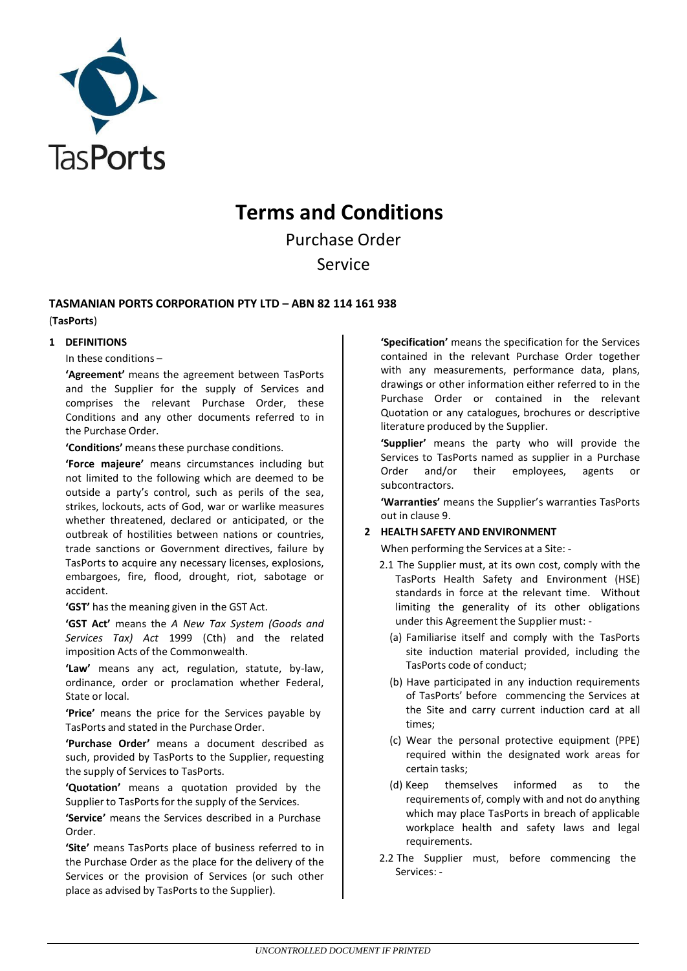

# **Terms and Conditions**

Purchase Order Service

## **TASMANIAN PORTS CORPORATION PTY LTD – ABN 82 114 161 938**

## (**TasPorts**)

## **1 DEFINITIONS**

In these conditions –

**'Agreement'** means the agreement between TasPorts and the Supplier for the supply of Services and comprises the relevant Purchase Order, these Conditions and any other documents referred to in the Purchase Order.

**'Conditions'** meansthese purchase conditions.

**'Force majeure'** means circumstances including but not limited to the following which are deemed to be outside a party's control, such as perils of the sea, strikes, lockouts, acts of God, war or warlike measures whether threatened, declared or anticipated, or the outbreak of hostilities between nations or countries, trade sanctions or Government directives, failure by TasPorts to acquire any necessary licenses, explosions, embargoes, fire, flood, drought, riot, sabotage or accident.

**'GST'** has the meaning given in the GST Act.

**'GST Act'** means the *A New Tax System (Goods and Services Tax) Act* 1999 (Cth) and the related imposition Acts of the Commonwealth.

**'Law'** means any act, regulation, statute, by-law, ordinance, order or proclamation whether Federal, State or local.

**'Price'** means the price for the Services payable by TasPorts and stated in the Purchase Order.

**'Purchase Order'** means a document described as such, provided by TasPorts to the Supplier, requesting the supply of Services to TasPorts.

**'Quotation'** means a quotation provided by the Supplier to TasPorts for the supply of the Services.

**'Service'** means the Services described in a Purchase Order.

**'Site'** means TasPorts place of business referred to in the Purchase Order as the place for the delivery of the Services or the provision of Services (or such other place as advised by TasPorts to the Supplier).

**'Specification'** means the specification for the Services contained in the relevant Purchase Order together with any measurements, performance data, plans, drawings or other information either referred to in the Purchase Order or contained in the relevant Quotation or any catalogues, brochures or descriptive literature produced by the Supplier.

**'Supplier'** means the party who will provide the Services to TasPorts named as supplier in a Purchase Order and/or their employees, agents or subcontractors.

**'Warranties'** means the Supplier's warranties TasPorts out in clause 9.

## **2 HEALTH SAFETY AND ENVIRONMENT**

When performing the Services at a Site: -

- 2.1 The Supplier must, at its own cost, comply with the TasPorts Health Safety and Environment (HSE) standards in force at the relevant time. Without limiting the generality of its other obligations under this Agreement the Supplier must: -
	- (a) Familiarise itself and comply with the TasPorts site induction material provided, including the TasPorts code of conduct;
	- (b) Have participated in any induction requirements of TasPorts' before commencing the Services at the Site and carry current induction card at all times;
	- (c) Wear the personal protective equipment (PPE) required within the designated work areas for certain tasks;
	- (d) Keep themselves informed as to the requirements of, comply with and not do anything which may place TasPorts in breach of applicable workplace health and safety laws and legal requirements.
- 2.2 The Supplier must, before commencing the Services: -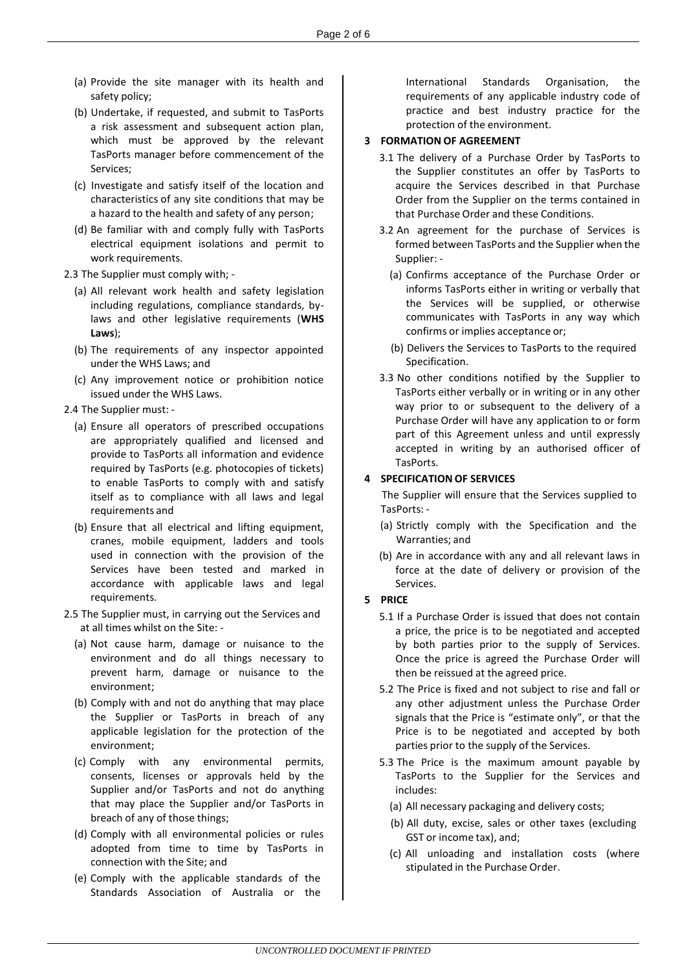- (a) Provide the site manager with its health and safety policy;
- (b) Undertake, if requested, and submit to TasPorts a risk assessment and subsequent action plan, which must be approved by the relevant TasPorts manager before commencement of the Services;
- (c) Investigate and satisfy itself of the location and characteristics of any site conditions that may be a hazard to the health and safety of any person;
- (d) Be familiar with and comply fully with TasPorts electrical equipment isolations and permit to work requirements.
- 2.3 The Supplier must comply with;
	- (a) All relevant work health and safety legislation including regulations, compliance standards, bylaws and other legislative requirements (**WHS Laws**);
	- (b) The requirements of any inspector appointed under the WHS Laws; and
	- (c) Any improvement notice or prohibition notice issued under the WHS Laws.
- 2.4 The Supplier must:
	- (a) Ensure all operators of prescribed occupations are appropriately qualified and licensed and provide to TasPorts all information and evidence required by TasPorts (e.g. photocopies of tickets) to enable TasPorts to comply with and satisfy itself as to compliance with all laws and legal requirements and
	- (b) Ensure that all electrical and lifting equipment, cranes, mobile equipment, ladders and tools used in connection with the provision of the Services have been tested and marked in accordance with applicable laws and legal requirements.
- 2.5 The Supplier must, in carrying out the Services and at all times whilst on the Site: -
	- (a) Not cause harm, damage or nuisance to the environment and do all things necessary to prevent harm, damage or nuisance to the environment;
	- (b) Comply with and not do anything that may place the Supplier or TasPorts in breach of any applicable legislation for the protection of the environment;
	- (c) Comply with any environmental permits, consents, licenses or approvals held by the Supplier and/or TasPorts and not do anything that may place the Supplier and/or TasPorts in breach of any of those things;
	- (d) Comply with all environmental policies or rules adopted from time to time by TasPorts in connection with the Site; and
	- (e) Comply with the applicable standards of the Standards Association of Australia or the

International Standards Organisation, the requirements of any applicable industry code of practice and best industry practice for the protection of the environment.

## **3 FORMATION OF AGREEMENT**

- 3.1 The delivery of a Purchase Order by TasPorts to the Supplier constitutes an offer by TasPorts to acquire the Services described in that Purchase Order from the Supplier on the terms contained in that Purchase Order and these Conditions.
- 3.2 An agreement for the purchase of Services is formed between TasPorts and the Supplier when the Supplier: -
	- (a) Confirms acceptance of the Purchase Order or informs TasPorts either in writing or verbally that the Services will be supplied, or otherwise communicates with TasPorts in any way which confirms or implies acceptance or;
	- (b) Delivers the Services to TasPorts to the required Specification.
- 3.3 No other conditions notified by the Supplier to TasPorts either verbally or in writing or in any other way prior to or subsequent to the delivery of a Purchase Order will have any application to or form part of this Agreement unless and until expressly accepted in writing by an authorised officer of TasPorts.

## **4 SPECIFICATION OF SERVICES**

The Supplier will ensure that the Services supplied to TasPorts: -

- (a) Strictly comply with the Specification and the Warranties; and
- (b) Are in accordance with any and all relevant laws in force at the date of delivery or provision of the Services.

#### **5 PRICE**

- 5.1 If a Purchase Order is issued that does not contain a price, the price is to be negotiated and accepted by both parties prior to the supply of Services. Once the price is agreed the Purchase Order will then be reissued at the agreed price.
- 5.2 The Price is fixed and not subject to rise and fall or any other adjustment unless the Purchase Order signals that the Price is "estimate only", or that the Price is to be negotiated and accepted by both parties prior to the supply of the Services.
- 5.3 The Price is the maximum amount payable by TasPorts to the Supplier for the Services and includes:
	- (a) All necessary packaging and delivery costs;
	- (b) All duty, excise, sales or other taxes (excluding GST or income tax), and;
	- (c) All unloading and installation costs (where stipulated in the Purchase Order.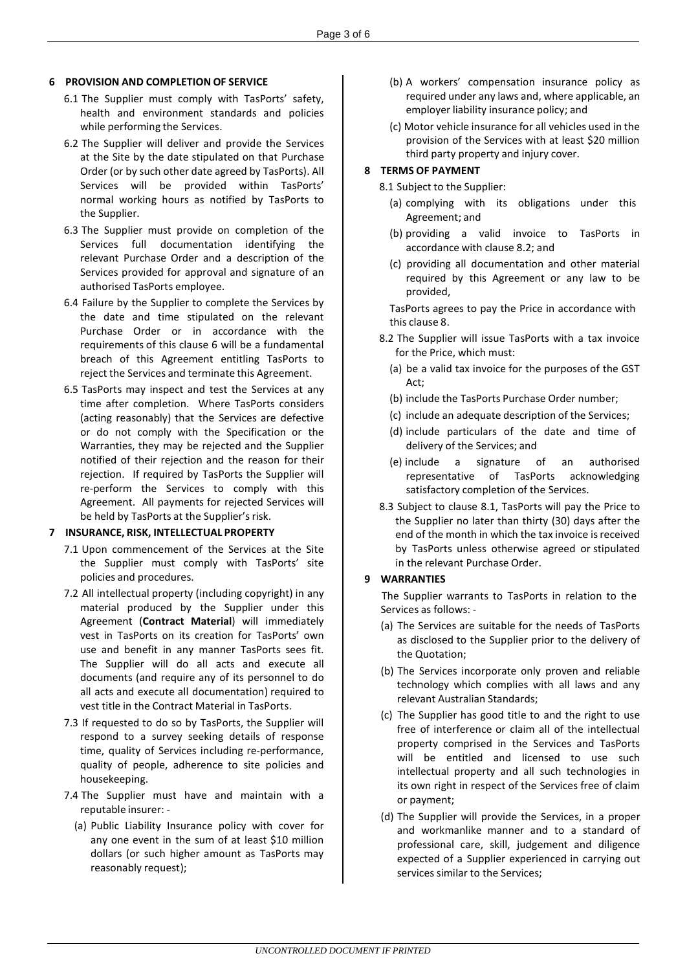## **6 PROVISION AND COMPLETION OF SERVICE**

- 6.1 The Supplier must comply with TasPorts' safety, health and environment standards and policies while performing the Services.
- 6.2 The Supplier will deliver and provide the Services at the Site by the date stipulated on that Purchase Order (or by such other date agreed by TasPorts). All Services will be provided within TasPorts' normal working hours as notified by TasPorts to the Supplier.
- 6.3 The Supplier must provide on completion of the Services full documentation identifying the relevant Purchase Order and a description of the Services provided for approval and signature of an authorised TasPorts employee.
- 6.4 Failure by the Supplier to complete the Services by the date and time stipulated on the relevant Purchase Order or in accordance with the requirements of this clause 6 will be a fundamental breach of this Agreement entitling TasPorts to reject the Services and terminate this Agreement.
- 6.5 TasPorts may inspect and test the Services at any time after completion. Where TasPorts considers (acting reasonably) that the Services are defective or do not comply with the Specification or the Warranties, they may be rejected and the Supplier notified of their rejection and the reason for their rejection. If required by TasPorts the Supplier will re-perform the Services to comply with this Agreement. All payments for rejected Services will be held by TasPorts at the Supplier's risk.

#### **7 INSURANCE, RISK, INTELLECTUAL PROPERTY**

- 7.1 Upon commencement of the Services at the Site the Supplier must comply with TasPorts' site policies and procedures.
- 7.2 All intellectual property (including copyright) in any material produced by the Supplier under this Agreement (**Contract Material**) will immediately vest in TasPorts on its creation for TasPorts' own use and benefit in any manner TasPorts sees fit. The Supplier will do all acts and execute all documents (and require any of its personnel to do all acts and execute all documentation) required to vest title in the Contract Material in TasPorts.
- 7.3 If requested to do so by TasPorts, the Supplier will respond to a survey seeking details of response time, quality of Services including re-performance, quality of people, adherence to site policies and housekeeping.
- 7.4 The Supplier must have and maintain with a reputable insurer: -
	- (a) Public Liability Insurance policy with cover for any one event in the sum of at least \$10 million dollars (or such higher amount as TasPorts may reasonably request);
- (b) A workers' compensation insurance policy as required under any laws and, where applicable, an employer liability insurance policy; and
- (c) Motor vehicle insurance for all vehicles used in the provision of the Services with at least \$20 million third party property and injury cover.

#### **8 TERMS OF PAYMENT**

8.1 Subject to the Supplier:

- (a) complying with its obligations under this Agreement; and
- (b) providing a valid invoice to TasPorts in accordance with clause 8.2; and
- (c) providing all documentation and other material required by this Agreement or any law to be provided,

TasPorts agrees to pay the Price in accordance with this clause 8.

- 8.2 The Supplier will issue TasPorts with a tax invoice for the Price, which must:
	- (a) be a valid tax invoice for the purposes of the GST Act;
	- (b) include the TasPorts Purchase Order number;
	- (c) include an adequate description of the Services;
	- (d) include particulars of the date and time of delivery of the Services; and
	- (e) include a signature of an authorised representative of TasPorts acknowledging satisfactory completion of the Services.
- 8.3 Subject to clause 8.1, TasPorts will pay the Price to the Supplier no later than thirty (30) days after the end of the month in which the tax invoice is received by TasPorts unless otherwise agreed or stipulated in the relevant Purchase Order.

## **9 WARRANTIES**

The Supplier warrants to TasPorts in relation to the Services as follows: -

- (a) The Services are suitable for the needs of TasPorts as disclosed to the Supplier prior to the delivery of the Quotation;
- (b) The Services incorporate only proven and reliable technology which complies with all laws and any relevant Australian Standards;
- (c) The Supplier has good title to and the right to use free of interference or claim all of the intellectual property comprised in the Services and TasPorts will be entitled and licensed to use such intellectual property and all such technologies in its own right in respect of the Services free of claim or payment;
- (d) The Supplier will provide the Services, in a proper and workmanlike manner and to a standard of professional care, skill, judgement and diligence expected of a Supplier experienced in carrying out services similar to the Services;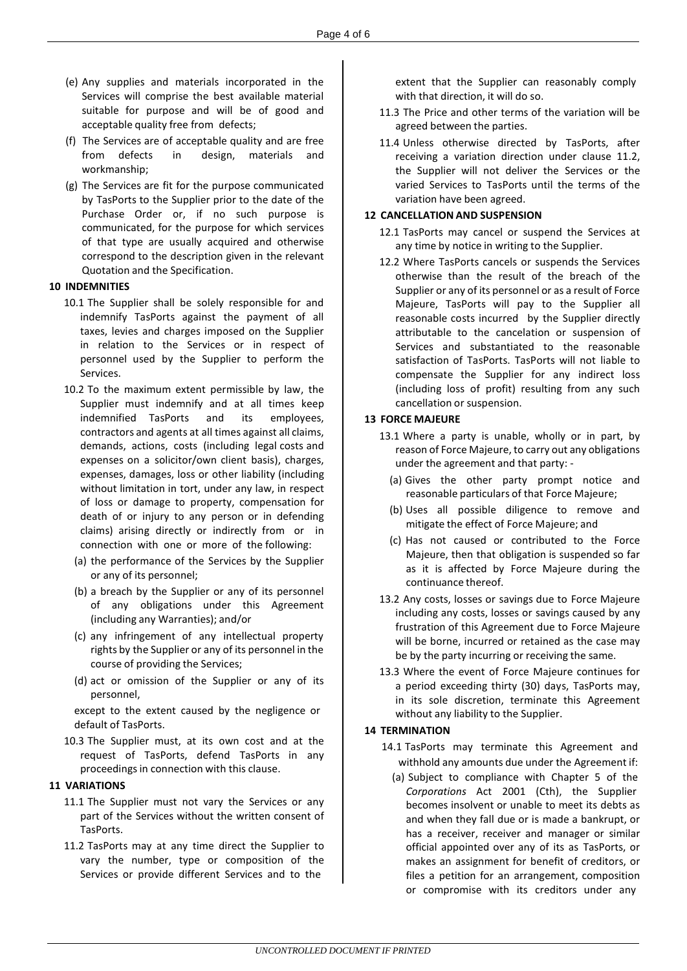- (e) Any supplies and materials incorporated in the Services will comprise the best available material suitable for purpose and will be of good and acceptable quality free from defects;
- (f) The Services are of acceptable quality and are free from defects in design, materials and workmanship;
- (g) The Services are fit for the purpose communicated by TasPorts to the Supplier prior to the date of the Purchase Order or, if no such purpose is communicated, for the purpose for which services of that type are usually acquired and otherwise correspond to the description given in the relevant Quotation and the Specification.

#### **10 INDEMNITIES**

- 10.1 The Supplier shall be solely responsible for and indemnify TasPorts against the payment of all taxes, levies and charges imposed on the Supplier in relation to the Services or in respect of personnel used by the Supplier to perform the Services.
- 10.2 To the maximum extent permissible by law, the Supplier must indemnify and at all times keep indemnified TasPorts and its employees, contractors and agents at all times against all claims, demands, actions, costs (including legal costs and expenses on a solicitor/own client basis), charges, expenses, damages, loss or other liability (including without limitation in tort, under any law, in respect of loss or damage to property, compensation for death of or injury to any person or in defending claims) arising directly or indirectly from or in connection with one or more of the following:
	- (a) the performance of the Services by the Supplier or any of its personnel;
	- (b) a breach by the Supplier or any of its personnel of any obligations under this Agreement (including any Warranties); and/or
	- (c) any infringement of any intellectual property rights by the Supplier or any of its personnel in the course of providing the Services;
	- (d) act or omission of the Supplier or any of its personnel,

except to the extent caused by the negligence or default of TasPorts.

10.3 The Supplier must, at its own cost and at the request of TasPorts, defend TasPorts in any proceedings in connection with this clause.

#### **11 VARIATIONS**

- 11.1 The Supplier must not vary the Services or any part of the Services without the written consent of TasPorts.
- 11.2 TasPorts may at any time direct the Supplier to vary the number, type or composition of the Services or provide different Services and to the

extent that the Supplier can reasonably comply with that direction, it will do so.

- 11.3 The Price and other terms of the variation will be agreed between the parties.
- 11.4 Unless otherwise directed by TasPorts, after receiving a variation direction under clause 11.2, the Supplier will not deliver the Services or the varied Services to TasPorts until the terms of the variation have been agreed.

## **12 CANCELLATION AND SUSPENSION**

- 12.1 TasPorts may cancel or suspend the Services at any time by notice in writing to the Supplier.
- 12.2 Where TasPorts cancels or suspends the Services otherwise than the result of the breach of the Supplier or any of its personnel or as a result of Force Majeure, TasPorts will pay to the Supplier all reasonable costs incurred by the Supplier directly attributable to the cancelation or suspension of Services and substantiated to the reasonable satisfaction of TasPorts. TasPorts will not liable to compensate the Supplier for any indirect loss (including loss of profit) resulting from any such cancellation or suspension.

#### **13 FORCE MAJEURE**

- 13.1 Where a party is unable, wholly or in part, by reason of Force Majeure, to carry out any obligations under the agreement and that party: -
	- (a) Gives the other party prompt notice and reasonable particulars of that Force Majeure;
	- (b) Uses all possible diligence to remove and mitigate the effect of Force Majeure; and
	- (c) Has not caused or contributed to the Force Majeure, then that obligation is suspended so far as it is affected by Force Majeure during the continuance thereof.
- 13.2 Any costs, losses or savings due to Force Majeure including any costs, losses or savings caused by any frustration of this Agreement due to Force Majeure will be borne, incurred or retained as the case may be by the party incurring or receiving the same.
- 13.3 Where the event of Force Majeure continues for a period exceeding thirty (30) days, TasPorts may, in its sole discretion, terminate this Agreement without any liability to the Supplier.

#### **14 TERMINATION**

- 14.1 TasPorts may terminate this Agreement and withhold any amounts due under the Agreement if:
	- (a) Subject to compliance with Chapter 5 of the *Corporations* Act 2001 (Cth), the Supplier becomes insolvent or unable to meet its debts as and when they fall due or is made a bankrupt, or has a receiver, receiver and manager or similar official appointed over any of its as TasPorts, or makes an assignment for benefit of creditors, or files a petition for an arrangement, composition or compromise with its creditors under any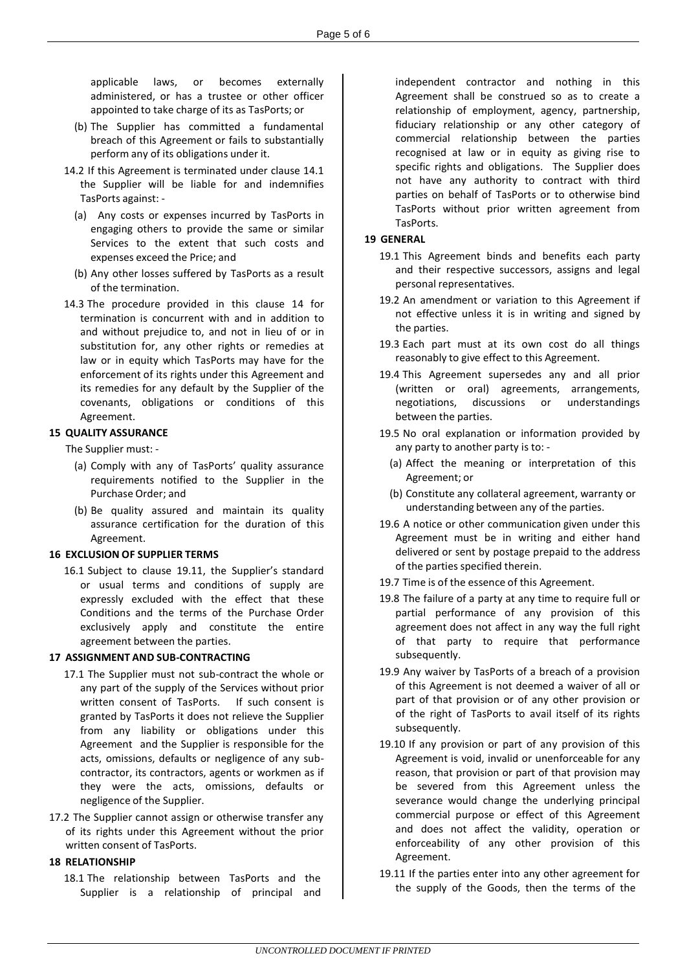applicable laws, or becomes externally administered, or has a trustee or other officer appointed to take charge of its as TasPorts; or

- (b) The Supplier has committed a fundamental breach of this Agreement or fails to substantially perform any of its obligations under it.
- 14.2 If this Agreement is terminated under clause 14.1 the Supplier will be liable for and indemnifies TasPorts against: -
	- (a) Any costs or expenses incurred by TasPorts in engaging others to provide the same or similar Services to the extent that such costs and expenses exceed the Price; and
	- (b) Any other losses suffered by TasPorts as a result of the termination.
- 14.3 The procedure provided in this clause 14 for termination is concurrent with and in addition to and without prejudice to, and not in lieu of or in substitution for, any other rights or remedies at law or in equity which TasPorts may have for the enforcement of its rights under this Agreement and its remedies for any default by the Supplier of the covenants, obligations or conditions of this Agreement.

#### **15 QUALITY ASSURANCE**

The Supplier must: -

- (a) Comply with any of TasPorts' quality assurance requirements notified to the Supplier in the Purchase Order; and
- (b) Be quality assured and maintain its quality assurance certification for the duration of this Agreement.

#### **16 EXCLUSION OF SUPPLIER TERMS**

16.1 Subject to clause 19.11, the Supplier's standard or usual terms and conditions of supply are expressly excluded with the effect that these Conditions and the terms of the Purchase Order exclusively apply and constitute the entire agreement between the parties.

#### **17 ASSIGNMENT AND SUB-CONTRACTING**

- 17.1 The Supplier must not sub-contract the whole or any part of the supply of the Services without prior written consent of TasPorts. If such consent is granted by TasPorts it does not relieve the Supplier from any liability or obligations under this Agreement and the Supplier is responsible for the acts, omissions, defaults or negligence of any subcontractor, its contractors, agents or workmen as if they were the acts, omissions, defaults or negligence of the Supplier.
- 17.2 The Supplier cannot assign or otherwise transfer any of its rights under this Agreement without the prior written consent of TasPorts.

#### **18 RELATIONSHIP**

18.1 The relationship between TasPorts and the Supplier is a relationship of principal and

independent contractor and nothing in this Agreement shall be construed so as to create a relationship of employment, agency, partnership, fiduciary relationship or any other category of commercial relationship between the parties recognised at law or in equity as giving rise to specific rights and obligations. The Supplier does not have any authority to contract with third parties on behalf of TasPorts or to otherwise bind TasPorts without prior written agreement from TasPorts.

#### **19 GENERAL**

- 19.1 This Agreement binds and benefits each party and their respective successors, assigns and legal personal representatives.
- 19.2 An amendment or variation to this Agreement if not effective unless it is in writing and signed by the parties.
- 19.3 Each part must at its own cost do all things reasonably to give effect to this Agreement.
- 19.4 This Agreement supersedes any and all prior (written or oral) agreements, arrangements, negotiations, discussions or understandings between the parties.
- 19.5 No oral explanation or information provided by any party to another party is to: -
	- (a) Affect the meaning or interpretation of this Agreement; or
	- (b) Constitute any collateral agreement, warranty or understanding between any of the parties.
- 19.6 A notice or other communication given under this Agreement must be in writing and either hand delivered or sent by postage prepaid to the address of the parties specified therein.
- 19.7 Time is of the essence of this Agreement.
- 19.8 The failure of a party at any time to require full or partial performance of any provision of this agreement does not affect in any way the full right of that party to require that performance subsequently.
- 19.9 Any waiver by TasPorts of a breach of a provision of this Agreement is not deemed a waiver of all or part of that provision or of any other provision or of the right of TasPorts to avail itself of its rights subsequently.
- 19.10 If any provision or part of any provision of this Agreement is void, invalid or unenforceable for any reason, that provision or part of that provision may be severed from this Agreement unless the severance would change the underlying principal commercial purpose or effect of this Agreement and does not affect the validity, operation or enforceability of any other provision of this Agreement.
- 19.11 If the parties enter into any other agreement for the supply of the Goods, then the terms of the